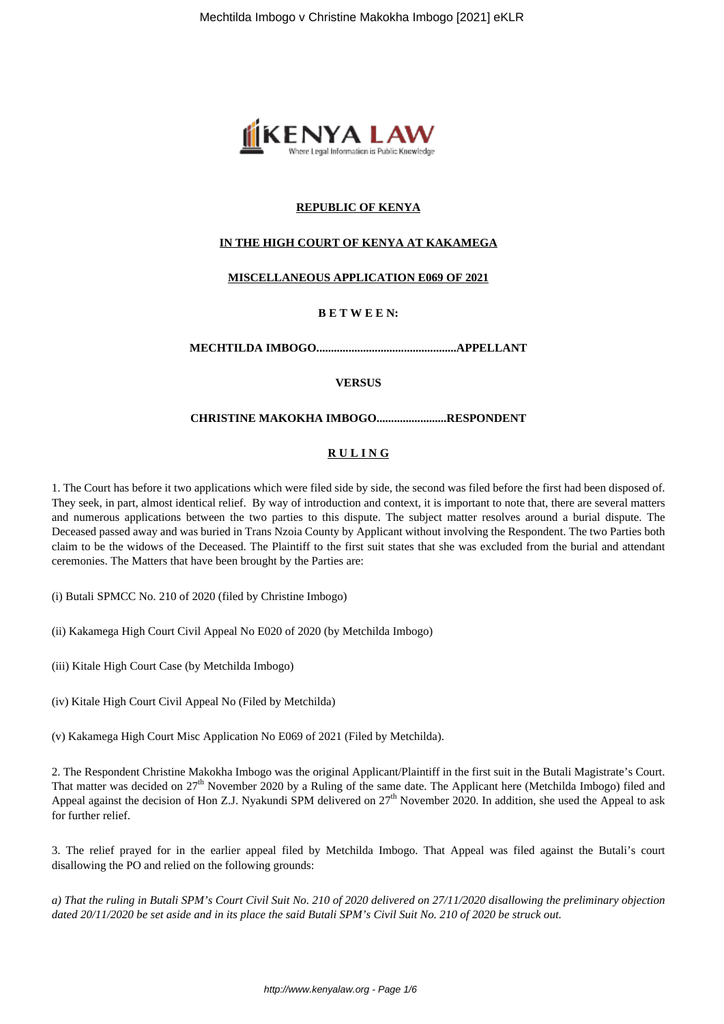

# **REPUBLIC OF KENYA**

# **IN THE HIGH COURT OF KENYA AT KAKAMEGA**

## **MISCELLANEOUS APPLICATION E069 OF 2021**

# **B E T W E E N:**

**MECHTILDA IMBOGO................................................APPELLANT**

## **VERSUS**

### **CHRISTINE MAKOKHA IMBOGO........................RESPONDENT**

# **R U L I N G**

1. The Court has before it two applications which were filed side by side, the second was filed before the first had been disposed of. They seek, in part, almost identical relief. By way of introduction and context, it is important to note that, there are several matters and numerous applications between the two parties to this dispute. The subject matter resolves around a burial dispute. The Deceased passed away and was buried in Trans Nzoia County by Applicant without involving the Respondent. The two Parties both claim to be the widows of the Deceased. The Plaintiff to the first suit states that she was excluded from the burial and attendant ceremonies. The Matters that have been brought by the Parties are:

(i) Butali SPMCC No. 210 of 2020 (filed by Christine Imbogo)

(ii) Kakamega High Court Civil Appeal No E020 of 2020 (by Metchilda Imbogo)

(iii) Kitale High Court Case (by Metchilda Imbogo)

(iv) Kitale High Court Civil Appeal No (Filed by Metchilda)

(v) Kakamega High Court Misc Application No E069 of 2021 (Filed by Metchilda).

2. The Respondent Christine Makokha Imbogo was the original Applicant/Plaintiff in the first suit in the Butali Magistrate's Court. That matter was decided on  $27<sup>th</sup>$  November 2020 by a Ruling of the same date. The Applicant here (Metchilda Imbogo) filed and Appeal against the decision of Hon Z.J. Nyakundi SPM delivered on  $27<sup>th</sup>$  November 2020. In addition, she used the Appeal to ask for further relief.

3. The relief prayed for in the earlier appeal filed by Metchilda Imbogo. That Appeal was filed against the Butali's court disallowing the PO and relied on the following grounds:

*a) That the ruling in Butali SPM's Court Civil Suit No. 210 of 2020 delivered on 27/11/2020 disallowing the preliminary objection dated 20/11/2020 be set aside and in its place the said Butali SPM's Civil Suit No. 210 of 2020 be struck out.*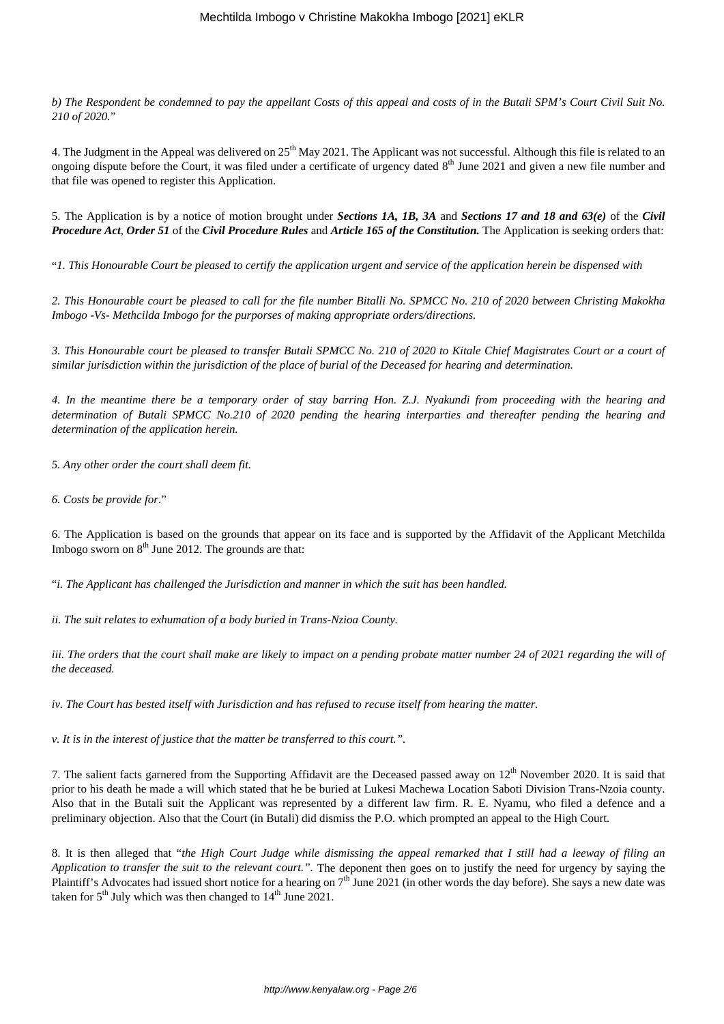*b) The Respondent be condemned to pay the appellant Costs of this appeal and costs of in the Butali SPM's Court Civil Suit No. 210 of 2020.*"

4. The Judgment in the Appeal was delivered on 25<sup>th</sup> May 2021. The Applicant was not successful. Although this file is related to an ongoing dispute before the Court, it was filed under a certificate of urgency dated  $8<sup>th</sup>$  June 2021 and given a new file number and that file was opened to register this Application.

5. The Application is by a notice of motion brought under *Sections 1A, 1B, 3A* and *Sections 17 and 18 and 63(e)* of the *Civil Procedure Act*, *Order 51* of the *Civil Procedure Rules* and *Article 165 of the Constitution.* The Application is seeking orders that:

"*1. This Honourable Court be pleased to certify the application urgent and service of the application herein be dispensed with*

*2. This Honourable court be pleased to call for the file number Bitalli No. SPMCC No. 210 of 2020 between Christing Makokha Imbogo -Vs- Methcilda Imbogo for the purporses of making appropriate orders/directions.*

*3. This Honourable court be pleased to transfer Butali SPMCC No. 210 of 2020 to Kitale Chief Magistrates Court or a court of similar jurisdiction within the jurisdiction of the place of burial of the Deceased for hearing and determination.*

*4. In the meantime there be a temporary order of stay barring Hon. Z.J. Nyakundi from proceeding with the hearing and determination of Butali SPMCC No.210 of 2020 pending the hearing interparties and thereafter pending the hearing and determination of the application herein.*

*5. Any other order the court shall deem fit.*

*6. Costs be provide for*."

6. The Application is based on the grounds that appear on its face and is supported by the Affidavit of the Applicant Metchilda Imbogo sworn on  $8<sup>th</sup>$  June 2012. The grounds are that:

"*i. The Applicant has challenged the Jurisdiction and manner in which the suit has been handled.*

*ii. The suit relates to exhumation of a body buried in Trans-Nzioa County.*

*iii. The orders that the court shall make are likely to impact on a pending probate matter number 24 of 2021 regarding the will of the deceased.*

*iv. The Court has bested itself with Jurisdiction and has refused to recuse itself from hearing the matter.*

*v. It is in the interest of justice that the matter be transferred to this court.".*

7. The salient facts garnered from the Supporting Affidavit are the Deceased passed away on  $12<sup>th</sup>$  November 2020. It is said that prior to his death he made a will which stated that he be buried at Lukesi Machewa Location Saboti Division Trans-Nzoia county. Also that in the Butali suit the Applicant was represented by a different law firm. R. E. Nyamu, who filed a defence and a preliminary objection. Also that the Court (in Butali) did dismiss the P.O. which prompted an appeal to the High Court.

8. It is then alleged that "*the High Court Judge while dismissing the appeal remarked that I still had a leeway of filing an Application to transfer the suit to the relevant court."*. The deponent then goes on to justify the need for urgency by saying the Plaintiff's Advocates had issued short notice for a hearing on  $7<sup>th</sup>$  June 2021 (in other words the day before). She says a new date was taken for  $5<sup>th</sup>$  July which was then changed to  $14<sup>th</sup>$  June 2021.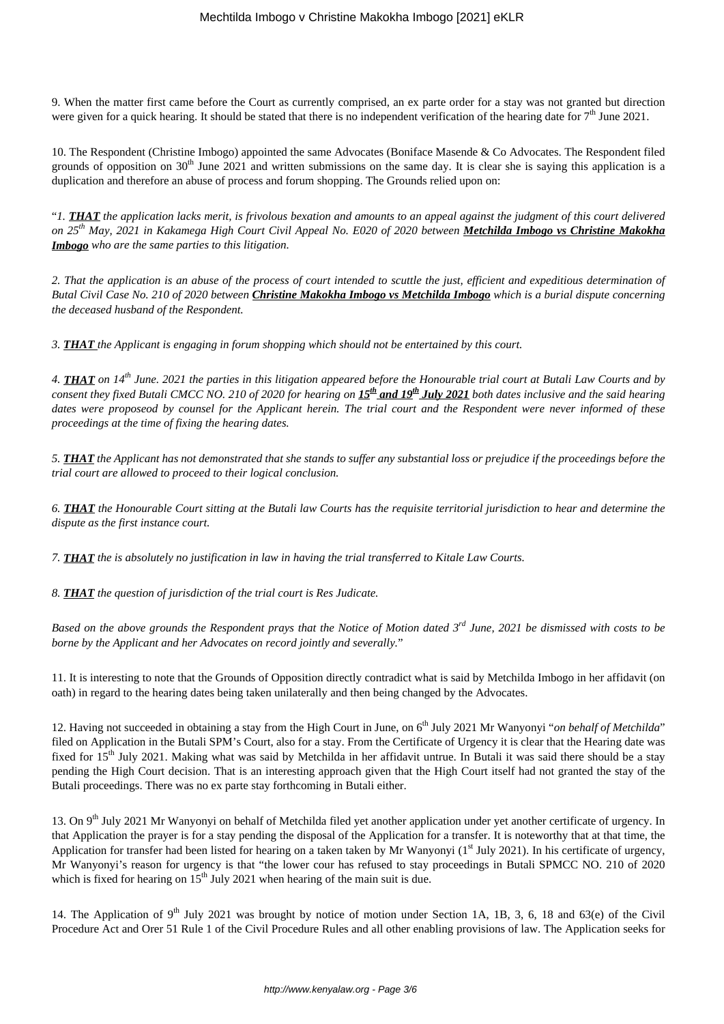9. When the matter first came before the Court as currently comprised, an ex parte order for a stay was not granted but direction were given for a quick hearing. It should be stated that there is no independent verification of the hearing date for  $7<sup>th</sup>$  June 2021.

10. The Respondent (Christine Imbogo) appointed the same Advocates (Boniface Masende & Co Advocates. The Respondent filed grounds of opposition on  $30<sup>th</sup>$  June 2021 and written submissions on the same day. It is clear she is saying this application is a duplication and therefore an abuse of process and forum shopping. The Grounds relied upon on:

"*1. THAT the application lacks merit, is frivolous bexation and amounts to an appeal against the judgment of this court delivered on 25th May, 2021 in Kakamega High Court Civil Appeal No. E020 of 2020 between Metchilda Imbogo vs Christine Makokha Imbogo who are the same parties to this litigation.*

*2. That the application is an abuse of the process of court intended to scuttle the just, efficient and expeditious determination of Butal Civil Case No. 210 of 2020 between Christine Makokha Imbogo vs Metchilda Imbogo which is a burial dispute concerning the deceased husband of the Respondent.*

*3. THAT the Applicant is engaging in forum shopping which should not be entertained by this court.*

*4. THAT on 14th June. 2021 the parties in this litigation appeared before the Honourable trial court at Butali Law Courts and by consent they fixed Butali CMCC NO. 210 of 2020 for hearing on 15th and 19th July 2021 both dates inclusive and the said hearing dates were proposeod by counsel for the Applicant herein. The trial court and the Respondent were never informed of these proceedings at the time of fixing the hearing dates.*

*5. THAT the Applicant has not demonstrated that she stands to suffer any substantial loss or prejudice if the proceedings before the trial court are allowed to proceed to their logical conclusion.*

*6. THAT the Honourable Court sitting at the Butali law Courts has the requisite territorial jurisdiction to hear and determine the dispute as the first instance court.* 

*7. THAT the is absolutely no justification in law in having the trial transferred to Kitale Law Courts.*

*8. THAT the question of jurisdiction of the trial court is Res Judicate.*

*Based on the above grounds the Respondent prays that the Notice of Motion dated 3rd June, 2021 be dismissed with costs to be borne by the Applicant and her Advocates on record jointly and severally.*"

11. It is interesting to note that the Grounds of Opposition directly contradict what is said by Metchilda Imbogo in her affidavit (on oath) in regard to the hearing dates being taken unilaterally and then being changed by the Advocates.

12. Having not succeeded in obtaining a stay from the High Court in June, on 6<sup>th</sup> July 2021 Mr Wanyonyi "*on behalf of Metchilda*" filed on Application in the Butali SPM's Court, also for a stay. From the Certificate of Urgency it is clear that the Hearing date was fixed for  $15<sup>th</sup>$  July 2021. Making what was said by Metchilda in her affidavit untrue. In Butali it was said there should be a stay pending the High Court decision. That is an interesting approach given that the High Court itself had not granted the stay of the Butali proceedings. There was no ex parte stay forthcoming in Butali either.

13. On 9<sup>th</sup> July 2021 Mr Wanyonyi on behalf of Metchilda filed yet another application under yet another certificate of urgency. In that Application the prayer is for a stay pending the disposal of the Application for a transfer. It is noteworthy that at that time, the Application for transfer had been listed for hearing on a taken taken by Mr Wanyonyi  $(1<sup>st</sup>$  July 2021). In his certificate of urgency, Mr Wanyonyi's reason for urgency is that "the lower cour has refused to stay proceedings in Butali SPMCC NO. 210 of 2020 which is fixed for hearing on  $15<sup>th</sup>$  July 2021 when hearing of the main suit is due.

14. The Application of 9<sup>th</sup> July 2021 was brought by notice of motion under Section 1A, 1B, 3, 6, 18 and 63(e) of the Civil Procedure Act and Orer 51 Rule 1 of the Civil Procedure Rules and all other enabling provisions of law. The Application seeks for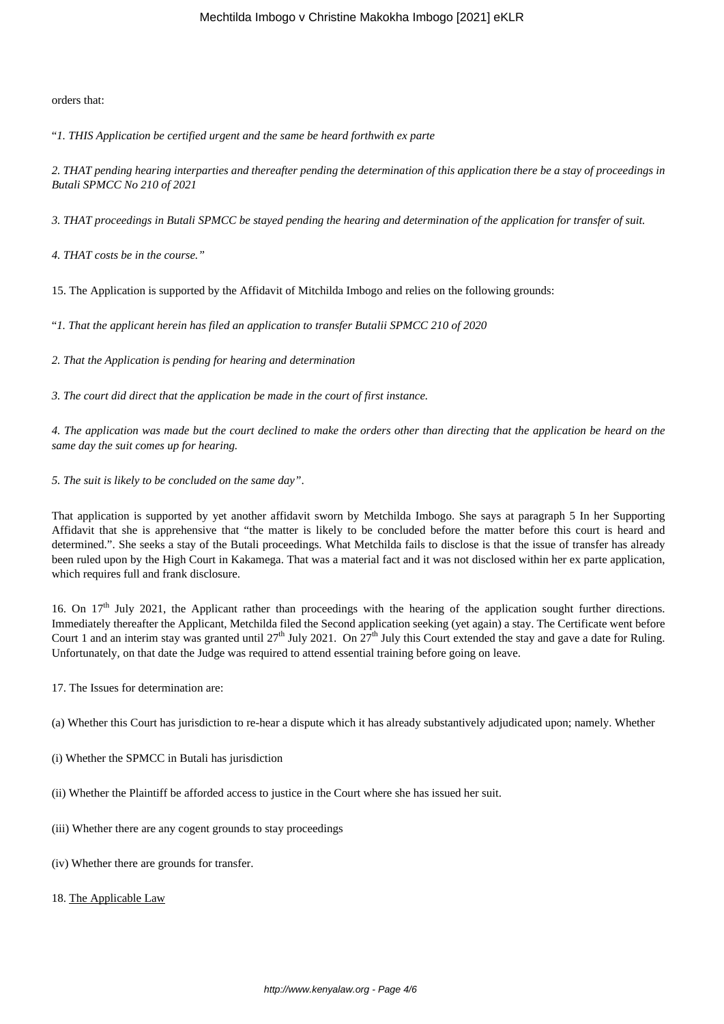orders that:

"*1. THIS Application be certified urgent and the same be heard forthwith ex parte*

*2. THAT pending hearing interparties and thereafter pending the determination of this application there be a stay of proceedings in Butali SPMCC No 210 of 2021*

*3. THAT proceedings in Butali SPMCC be stayed pending the hearing and determination of the application for transfer of suit.*

*4. THAT costs be in the course."*

15. The Application is supported by the Affidavit of Mitchilda Imbogo and relies on the following grounds:

"*1. That the applicant herein has filed an application to transfer Butalii SPMCC 210 of 2020* 

*2. That the Application is pending for hearing and determination*

*3. The court did direct that the application be made in the court of first instance.*

*4. The application was made but the court declined to make the orders other than directing that the application be heard on the same day the suit comes up for hearing.*

*5. The suit is likely to be concluded on the same day"*.

That application is supported by yet another affidavit sworn by Metchilda Imbogo. She says at paragraph 5 In her Supporting Affidavit that she is apprehensive that "the matter is likely to be concluded before the matter before this court is heard and determined.". She seeks a stay of the Butali proceedings. What Metchilda fails to disclose is that the issue of transfer has already been ruled upon by the High Court in Kakamega. That was a material fact and it was not disclosed within her ex parte application, which requires full and frank disclosure.

16. On  $17<sup>th</sup>$  July 2021, the Applicant rather than proceedings with the hearing of the application sought further directions. Immediately thereafter the Applicant, Metchilda filed the Second application seeking (yet again) a stay. The Certificate went before Court 1 and an interim stay was granted until  $27<sup>th</sup>$  July 2021. On  $27<sup>th</sup>$  July this Court extended the stay and gave a date for Ruling. Unfortunately, on that date the Judge was required to attend essential training before going on leave.

17. The Issues for determination are:

(a) Whether this Court has jurisdiction to re-hear a dispute which it has already substantively adjudicated upon; namely. Whether

- (i) Whether the SPMCC in Butali has jurisdiction
- (ii) Whether the Plaintiff be afforded access to justice in the Court where she has issued her suit.
- (iii) Whether there are any cogent grounds to stay proceedings
- (iv) Whether there are grounds for transfer.
- 18. The Applicable Law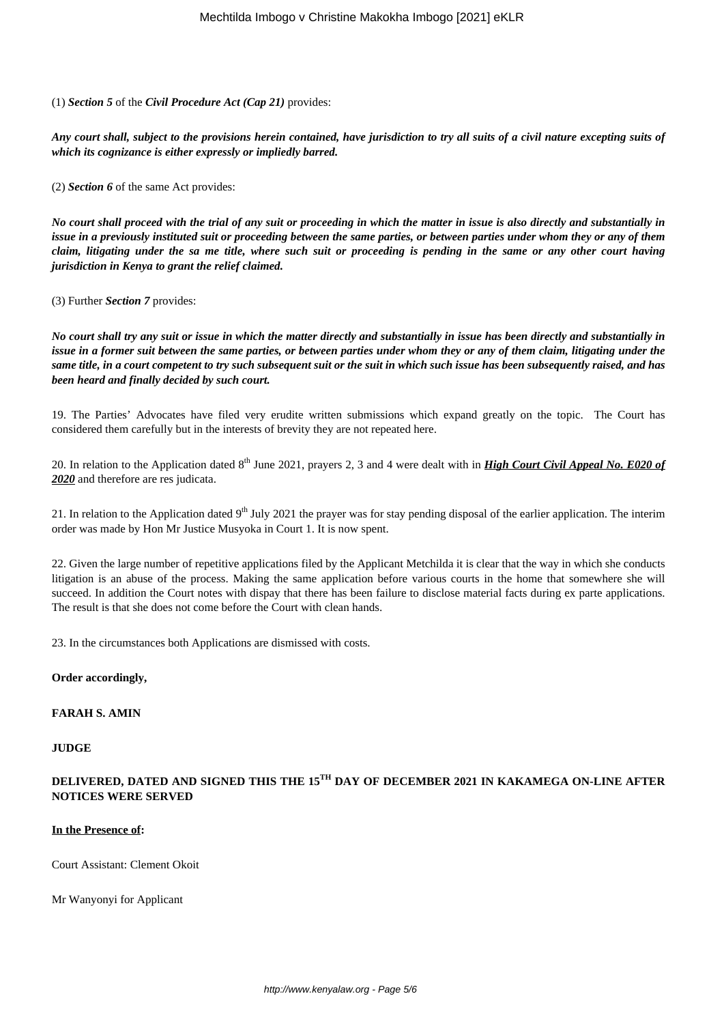(1) *Section 5* of the *Civil Procedure Act (Cap 21)* provides:

*Any court shall, subject to the provisions herein contained, have jurisdiction to try all suits of a civil nature excepting suits of which its cognizance is either expressly or impliedly barred.*

(2) *Section 6* of the same Act provides:

*No court shall proceed with the trial of any suit or proceeding in which the matter in issue is also directly and substantially in issue in a previously instituted suit or proceeding between the same parties, or between parties under whom they or any of them claim, litigating under the sa me title, where such suit or proceeding is pending in the same or any other court having jurisdiction in Kenya to grant the relief claimed.*

(3) Further *Section 7* provides:

*No court shall try any suit or issue in which the matter directly and substantially in issue has been directly and substantially in issue in a former suit between the same parties, or between parties under whom they or any of them claim, litigating under the same title, in a court competent to try such subsequent suit or the suit in which such issue has been subsequently raised, and has been heard and finally decided by such court.*

19. The Parties' Advocates have filed very erudite written submissions which expand greatly on the topic. The Court has considered them carefully but in the interests of brevity they are not repeated here.

20. In relation to the Application dated 8<sup>th</sup> June 2021, prayers 2, 3 and 4 were dealt with in *High Court Civil Appeal No. E020 of 2020* and therefore are res judicata.

21. In relation to the Application dated  $9<sup>th</sup>$  July 2021 the prayer was for stay pending disposal of the earlier application. The interim order was made by Hon Mr Justice Musyoka in Court 1. It is now spent.

22. Given the large number of repetitive applications filed by the Applicant Metchilda it is clear that the way in which she conducts litigation is an abuse of the process. Making the same application before various courts in the home that somewhere she will succeed. In addition the Court notes with dispay that there has been failure to disclose material facts during ex parte applications. The result is that she does not come before the Court with clean hands.

23. In the circumstances both Applications are dismissed with costs.

## **Order accordingly,**

#### **FARAH S. AMIN**

#### **JUDGE**

# **DELIVERED, DATED AND SIGNED THIS THE 15TH DAY OF DECEMBER 2021 IN KAKAMEGA ON-LINE AFTER NOTICES WERE SERVED**

#### **In the Presence of:**

Court Assistant: Clement Okoit

Mr Wanyonyi for Applicant